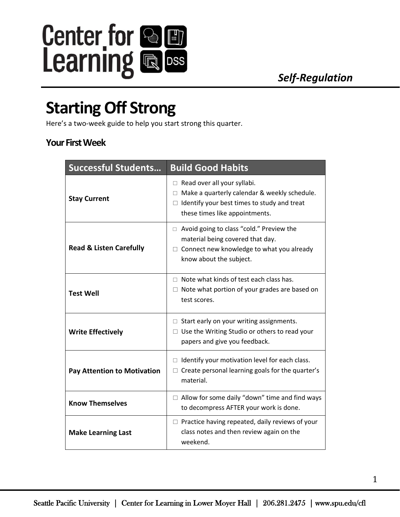

## **Starting Off Strong**

Here's a two-week guide to help you start strong this quarter.

## **Your First Week**

| <b>Successful Students</b>         | <b>Build Good Habits</b>                                                                                                                                                          |
|------------------------------------|-----------------------------------------------------------------------------------------------------------------------------------------------------------------------------------|
| <b>Stay Current</b>                | $\Box$ Read over all your syllabi.<br>$\Box$ Make a quarterly calendar & weekly schedule.<br>$\Box$ Identify your best times to study and treat<br>these times like appointments. |
| <b>Read &amp; Listen Carefully</b> | $\Box$ Avoid going to class "cold." Preview the<br>material being covered that day.<br>$\Box$ Connect new knowledge to what you already<br>know about the subject.                |
| <b>Test Well</b>                   | $\Box$ Note what kinds of test each class has.<br>$\Box$ Note what portion of your grades are based on<br>test scores.                                                            |
| <b>Write Effectively</b>           | $\Box$ Start early on your writing assignments.<br>$\Box$ Use the Writing Studio or others to read your<br>papers and give you feedback.                                          |
| <b>Pay Attention to Motivation</b> | $\Box$ Identify your motivation level for each class.<br>$\Box$ Create personal learning goals for the quarter's<br>material.                                                     |
| <b>Know Themselves</b>             | $\Box$ Allow for some daily "down" time and find ways<br>to decompress AFTER your work is done.                                                                                   |
| <b>Make Learning Last</b>          | $\Box$ Practice having repeated, daily reviews of your<br>class notes and then review again on the<br>weekend.                                                                    |